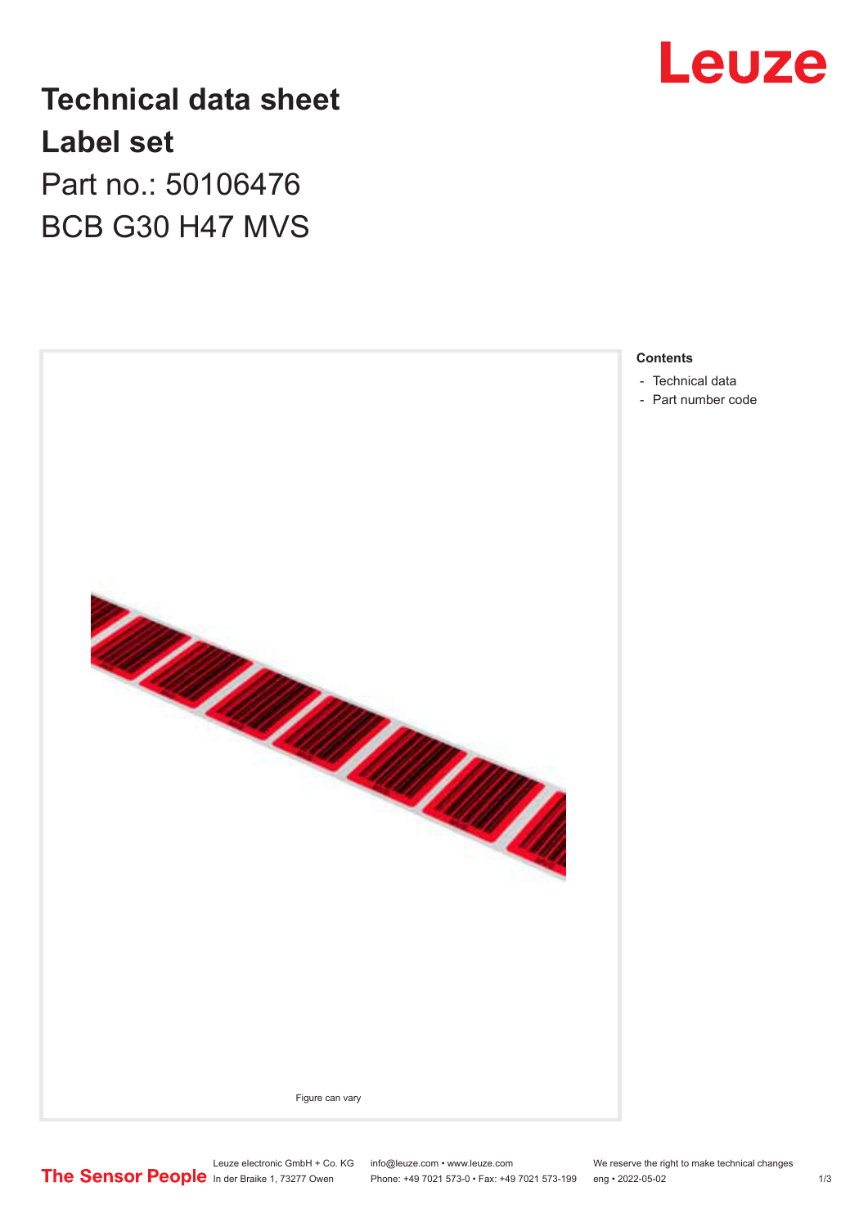

## **Technical data sheet Label set** Part no.: 50106476 BCB G30 H47 MVS



- [Technical data](#page-1-0)
- [Part number code](#page-1-0)

Leuze electronic GmbH + Co. KG info@leuze.com • www.leuze.com We reserve the right to make technical changes In der Braike 1, 73277 Owen Phone: +49 7021 573-0 • Fax: +49 7021 573-199 eng • 2022-05-02 1/3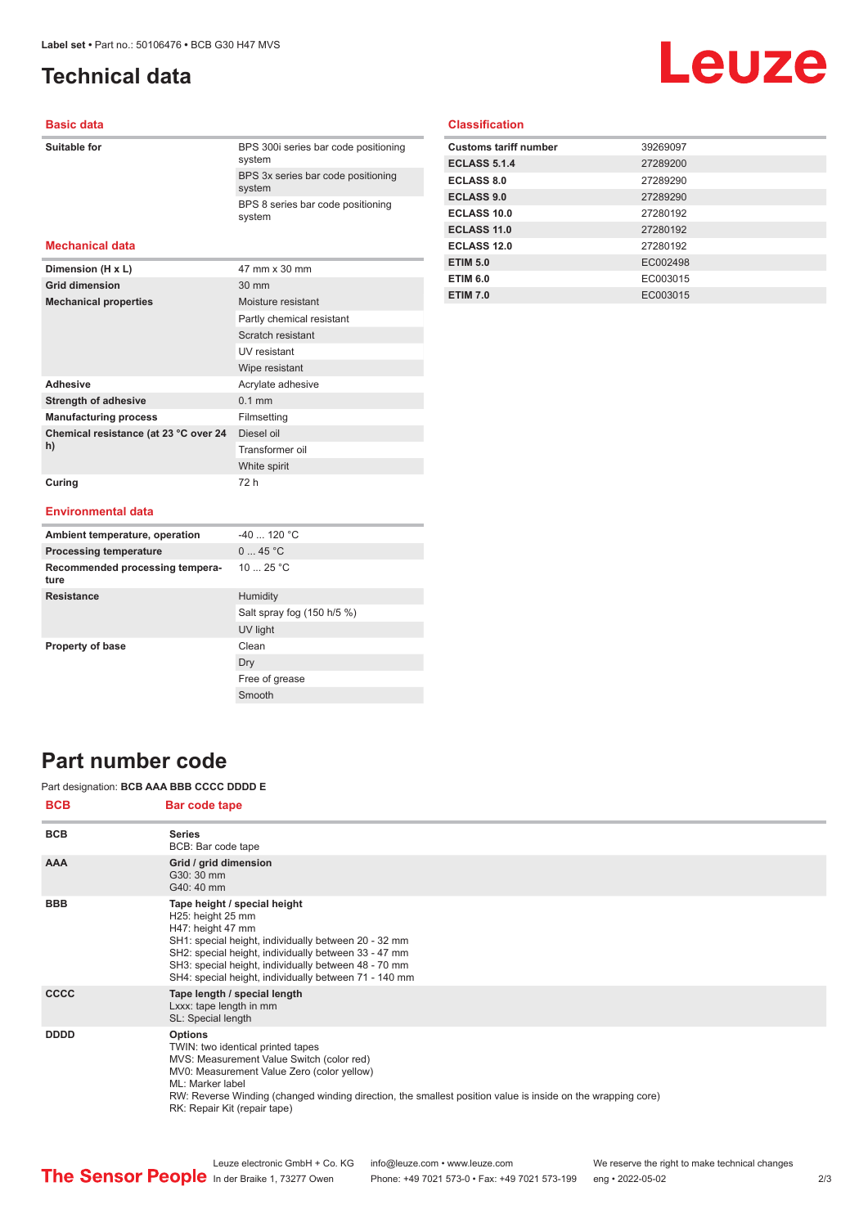## <span id="page-1-0"></span>**Technical data**

# **Leuze**

#### **Basic data**

| Suitable for           | BPS 300 series bar code positioning<br>system |
|------------------------|-----------------------------------------------|
|                        | BPS 3x series bar code positioning<br>system  |
|                        | BPS 8 series bar code positioning<br>system   |
| <b>Mechanical data</b> |                                               |
| Dimension (H x L)      | 47 mm x 30 mm                                 |

| <b>Grid dimension</b>                       | 30 mm                     |
|---------------------------------------------|---------------------------|
| <b>Mechanical properties</b>                | Moisture resistant        |
|                                             | Partly chemical resistant |
|                                             | Scratch resistant         |
|                                             | UV resistant              |
|                                             | Wipe resistant            |
| <b>Adhesive</b>                             | Acrylate adhesive         |
| <b>Strength of adhesive</b>                 | $0.1$ mm                  |
| <b>Manufacturing process</b>                | Filmsetting               |
| Chemical resistance (at 23 °C over 24<br>h) | Diesel oil                |
|                                             | Transformer oil           |
|                                             | White spirit              |
| Curing                                      | 72 h                      |

#### **Classification**

| <b>Customs tariff number</b> | 39269097 |
|------------------------------|----------|
| <b>ECLASS 5.1.4</b>          | 27289200 |
| ECLASS 8.0                   | 27289290 |
| <b>ECLASS 9.0</b>            | 27289290 |
| ECLASS 10.0                  | 27280192 |
| <b>ECLASS 11.0</b>           | 27280192 |
| ECLASS 12.0                  | 27280192 |
| <b>ETIM 5.0</b>              | EC002498 |
| <b>ETIM 6.0</b>              | EC003015 |
| <b>ETIM 7.0</b>              | EC003015 |

#### **Environmental data**

| Ambient temperature, operation          | $-40$ 120 °C               |
|-----------------------------------------|----------------------------|
| <b>Processing temperature</b>           | 045 °C                     |
| Recommended processing tempera-<br>ture | 10 $25 °C$                 |
| <b>Resistance</b>                       | Humidity                   |
|                                         | Salt spray fog (150 h/5 %) |
|                                         | UV light                   |
| <b>Property of base</b>                 | Clean                      |
|                                         | Dry                        |
|                                         | Free of grease             |
|                                         | Smooth                     |

### **Part number code**

#### Part designation: **BCB AAA BBB CCCC DDDD E**

| <b>BCB</b>  | Bar code tape                                                                                                                                                                                                                                                                                                     |
|-------------|-------------------------------------------------------------------------------------------------------------------------------------------------------------------------------------------------------------------------------------------------------------------------------------------------------------------|
| <b>BCB</b>  | <b>Series</b><br>BCB: Bar code tape                                                                                                                                                                                                                                                                               |
| <b>AAA</b>  | Grid / grid dimension<br>G30: 30 mm<br>G40: 40 mm                                                                                                                                                                                                                                                                 |
| <b>BBB</b>  | Tape height / special height<br>H25: height 25 mm<br>H47: height 47 mm<br>SH1: special height, individually between 20 - 32 mm<br>SH2: special height, individually between 33 - 47 mm<br>SH3: special height, individually between 48 - 70 mm<br>SH4: special height, individually between 71 - 140 mm           |
| <b>CCCC</b> | Tape length / special length<br>Lxxx: tape length in mm<br>SL: Special length                                                                                                                                                                                                                                     |
| <b>DDDD</b> | <b>Options</b><br>TWIN: two identical printed tapes<br>MVS: Measurement Value Switch (color red)<br>MV0: Measurement Value Zero (color yellow)<br>ML: Marker label<br>RW: Reverse Winding (changed winding direction, the smallest position value is inside on the wrapping core)<br>RK: Repair Kit (repair tape) |